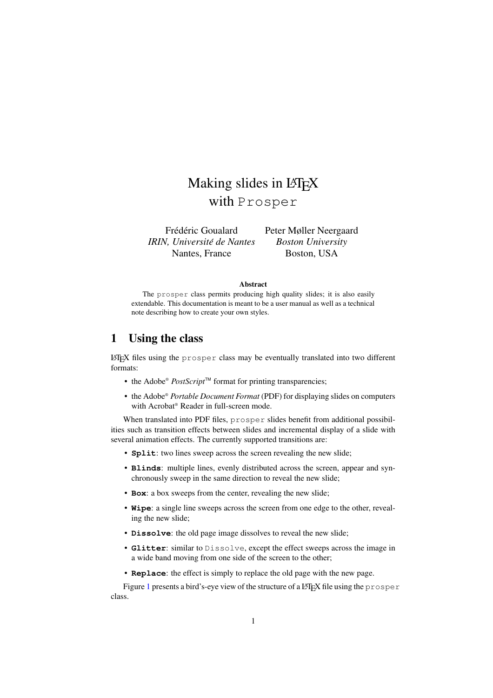# Making slides in LAT<sub>EX</sub> with Prosper

Frédéric Goualard Peter Møller Neergaard *IRIN, Universite´ de Nantes Boston University* Nantes, France Boston, USA

#### **Abstract**

The prosper class permits producing high quality slides; it is also easily extendable. This documentation is meant to be a user manual as well as a technical note describing how to create your own styles.

### **1 Using the class**

 $\Delta E$ <sub>EX</sub> files using the prosper class may be eventually translated into two different formats:

- the Adobe® *PostScript*TM format for printing transparencies;
- the Adobe® *Portable Document Format* (PDF) for displaying slides on computers with Acrobat® Reader in full-screen mode.

When translated into PDF files, prosper slides benefit from additional possibilities such as transition effects between slides and incremental display of a slide with several animation effects. The currently supported transitions are:

- **Split**: two lines sweep across the screen revealing the new slide;
- **Blinds**: multiple lines, evenly distributed across the screen, appear and synchronously sweep in the same direction to reveal the new slide;
- **Box**: a box sweeps from the center, revealing the new slide;
- **Wipe**: a single line sweeps across the screen from one edge to the other, revealing the new slide;
- **Dissolve**: the old page image dissolves to reveal the new slide;
- **Glitter**: similar to Dissolve, except the effect sweeps across the image in a wide band moving from one side of the screen to the other;
- **Replace**: the effect is simply to replace the old page with the new page.

Figure [1](#page-1-0) presents a bird's-eye view of the structure of a LAT<sub>EX</sub> file using the prosper class.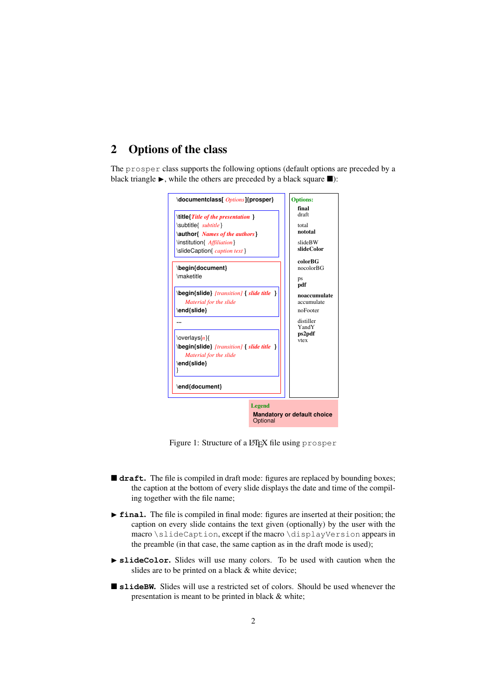# **2 Options of the class**

The prosper class supports the following options (default options are preceded by a black triangle  $\blacktriangleright$ , while the others are preceded by a black square  $\blacksquare$ ):



<span id="page-1-0"></span>Figure 1: Structure of a LAT<sub>E</sub>X file using prosper

- **draft.** The file is compiled in draft mode: figures are replaced by bounding boxes; the caption at the bottom of every slide displays the date and time of the compiling together with the file name;
- **Final.** The file is compiled in final mode: figures are inserted at their position; the caption on every slide contains the text given (optionally) by the user with the macro \slideCaption, except if the macro \displayVersion appears in the preamble (in that case, the same caption as in the draft mode is used);
- $\blacktriangleright$  **slideColor.** Slides will use many colors. To be used with caution when the slides are to be printed on a black & white device;
- **slideBW.** Slides will use a restricted set of colors. Should be used whenever the presentation is meant to be printed in black & white;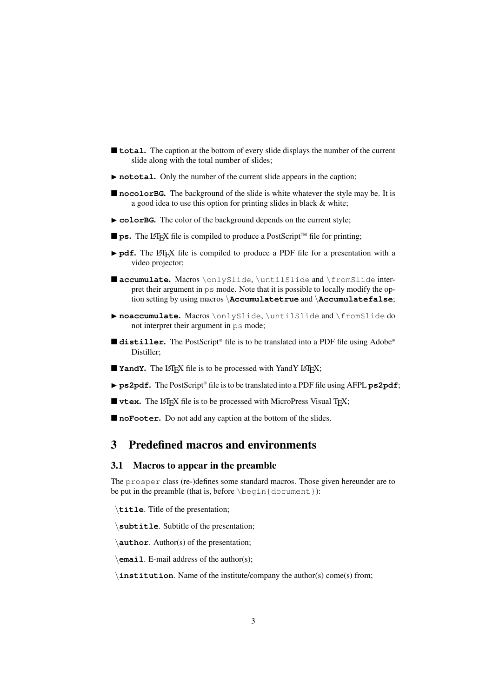- **total**. The caption at the bottom of every slide displays the number of the current slide along with the total number of slides;
- ▶ **nototal**. Only the number of the current slide appears in the caption;
- nocolorBG. The background of the slide is white whatever the style may be. It is a good idea to use this option for printing slides in black & white;
- $\triangleright$  **colorBG**. The color of the background depends on the current style;
- **ps.** The LAT<sub>E</sub>X file is compiled to produce a PostScript<sup>™</sup> file for printing;
- **Pdf.** The LATEX file is compiled to produce a PDF file for a presentation with a video projector;
- **accumulate.** Macros \onlySlide, \untilSlide and \fromSlide interpret their argument in ps mode. Note that it is possible to locally modify the option setting by using macros \**Accumulatetrue** and \**Accumulatefalse**;
- ▶ noaccumulate. Macros \onlySlide, \untilSlide and \fromSlide do not interpret their argument in ps mode;
- **distiller.** The PostScript® file is to be translated into a PDF file using Adobe® Distiller;
- **YandY**. The LATEX file is to be processed with YandY LATEX;
- ▶ **ps2pdf**. The PostScript® file is to be translated into a PDF file using AFPL **ps2pdf**;
- **vtex.** The LATEX file is to be processed with MicroPress Visual TEX;
- **noFooter.** Do not add any caption at the bottom of the slides.

# **3 Predefined macros and environments**

#### **3.1 Macros to appear in the preamble**

The prosper class (re-)defines some standard macros. Those given hereunder are to be put in the preamble (that is, before \begin{document}):

\**title**. Title of the presentation;

\**subtitle**. Subtitle of the presentation;

\**author**. Author(s) of the presentation;

\**email**. E-mail address of the author(s);

\**institution**. Name of the institute/company the author(s) come(s) from;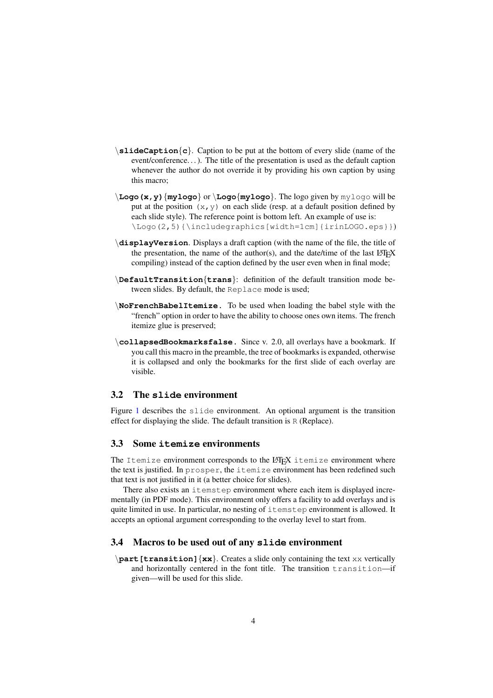- $\lambda$ **slideCaption** $\{c\}$ . Caption to be put at the bottom of every slide (name of the event/conference. . .). The title of the presentation is used as the default caption whenever the author do not override it by providing his own caption by using this macro;
- \**Logo(x,y)**{**mylogo**} or \**Logo**{**mylogo**}. The logo given by mylogo will be put at the position  $(x, y)$  on each slide (resp. at a default position defined by each slide style). The reference point is bottom left. An example of use is: \Logo(2,5){\includegraphics[width=1cm]{irinLOGO.eps}})
- \**displayVersion**. Displays a draft caption (with the name of the file, the title of the presentation, the name of the author(s), and the date/time of the last  $LATEX$ compiling) instead of the caption defined by the user even when in final mode;
- \**DefaultTransition**{**trans**}: definition of the default transition mode between slides. By default, the Replace mode is used;
- \**NoFrenchBabelItemize.** To be used when loading the babel style with the "french" option in order to have the ability to choose ones own items. The french itemize glue is preserved;
- \**collapsedBookmarksfalse.** Since v. 2.0, all overlays have a bookmark. If you call this macro in the preamble, the tree of bookmarks is expanded, otherwise it is collapsed and only the bookmarks for the first slide of each overlay are visible.

#### **3.2 The slide environment**

Figure [1](#page-1-0) describes the slide environment. An optional argument is the transition effect for displaying the slide. The default transition is R (Replace).

### **3.3 Some itemize environments**

The Itemize environment corresponds to the LATEX itemize environment where the text is justified. In prosper, the itemize environment has been redefined such that text is not justified in it (a better choice for slides).

There also exists an itemstep environment where each item is displayed incrementally (in PDF mode). This environment only offers a facility to add overlays and is quite limited in use. In particular, no nesting of itemstep environment is allowed. It accepts an optional argument corresponding to the overlay level to start from.

### **3.4 Macros to be used out of any slide environment**

\**part[transition]**{**xx**}. Creates a slide only containing the text xx vertically and horizontally centered in the font title. The transition transition-if given—will be used for this slide.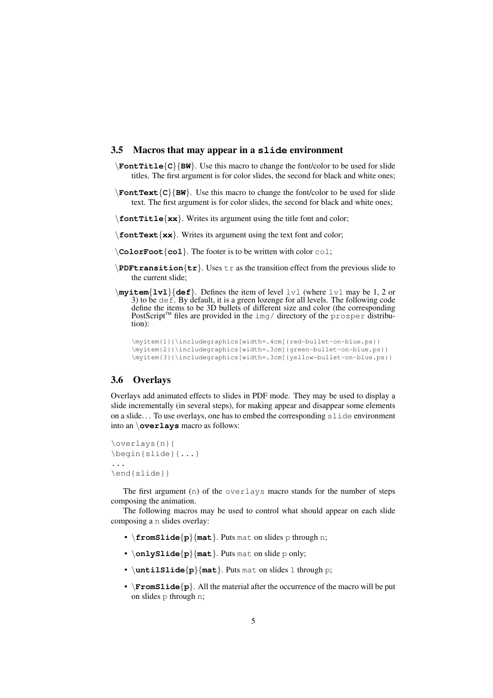### **3.5 Macros that may appear in a slide environment**

- \**FontTitle**{**C**}{**BW**}. Use this macro to change the font/color to be used for slide titles. The first argument is for color slides, the second for black and white ones;
- $\text{FontText}$ {C}{**BW**}. Use this macro to change the font/color to be used for slide text. The first argument is for color slides, the second for black and white ones;
- \**fontTitle**{**xx**}. Writes its argument using the title font and color;
- \**fontText**{**xx**}. Writes its argument using the text font and color;
- \**ColorFoot**{**col**}. The footer is to be written with color col;
- \**PDFtransition**{**tr**}. Uses tr as the transition effect from the previous slide to the current slide;
- \**myitem**{**lvl**}{**def**}. Defines the item of level lvl (where lvl may be 1, 2 or 3) to be  $\det$ . By default, it is a green lozenge for all levels. The following code define the items to be 3D bullets of different size and color (the corresponding PostScript<sup>™</sup> files are provided in the img/ directory of the prosper distribution):

```
\myitem{1}{\includegraphics[width=.4cm]{red-bullet-on-blue.ps}}
\myitem{2}{\includegraphics[width=.3cm]{green-bullet-on-blue.ps}}
\myitem{3}{\includegraphics[width=.3cm]{yellow-bullet-on-blue.ps}}
```
### **3.6 Overlays**

Overlays add animated effects to slides in PDF mode. They may be used to display a slide incrementally (in several steps), for making appear and disappear some elements on a slide. . . To use overlays, one has to embed the corresponding slide environment into an \**overlays** macro as follows:

```
\overlays{n}{
\begin{slide}{...}
...
\end{slide}}
```
The first argument (n) of the overlays macro stands for the number of steps composing the animation.

The following macros may be used to control what should appear on each slide composing a n slides overlay:

- \**fromSlide**{**p**}{**mat**}. Puts mat on slides p through n;
- \**onlySlide**{**p**}{**mat**}. Puts mat on slide p only;
- \**untilSlide**{**p**}{**mat**}. Puts mat on slides 1 through p;
- \**FromSlide**{**p**}. All the material after the occurrence of the macro will be put on slides p through n;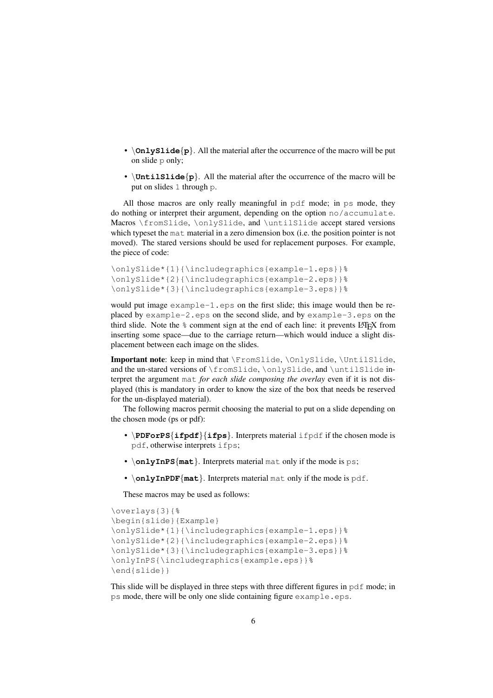- **\onlyslide** $\{p\}$ . All the material after the occurrence of the macro will be put on slide p only;
- \**UntilSlide**{**p**}. All the material after the occurrence of the macro will be put on slides 1 through p.

All those macros are only really meaningful in pdf mode; in ps mode, they do nothing or interpret their argument, depending on the option no/accumulate. Macros \fromSlide, \onlySlide, and \untilSlide accept stared versions which typeset the material in a zero dimension box (i.e. the position pointer is not moved). The stared versions should be used for replacement purposes. For example, the piece of code:

```
\onlySlide*{1}{\includegraphics{example-1.eps}}%
\onlySlide*{2}{\includegraphics{example-2.eps}}%
\onlySlide*{3}{\includegraphics{example-3.eps}}%
```
would put image example-1.eps on the first slide; this image would then be replaced by example-2.eps on the second slide, and by example-3.eps on the third slide. Note the  $\frac{1}{6}$  comment sign at the end of each line: it prevents LAT<sub>E</sub>X from inserting some space—due to the carriage return—which would induce a slight displacement between each image on the slides.

**Important note**: keep in mind that \FromSlide, \OnlySlide, \UntilSlide, and the un-stared versions of \fromSlide, \onlySlide, and \untilSlide interpret the argument mat *for each slide composing the overlay* even if it is not displayed (this is mandatory in order to know the size of the box that needs be reserved for the un-displayed material).

The following macros permit choosing the material to put on a slide depending on the chosen mode (ps or pdf):

- \**PDForPS**{ifpdf}{ifps}. Interprets material ifpdf if the chosen mode is pdf, otherwise interprets ifps;
- \**onlyInPS**{**mat**}. Interprets material mat only if the mode is ps;
- \**onlyInPDF**{**mat**}. Interprets material mat only if the mode is pdf.

These macros may be used as follows:

```
\overlays{3}{%
\begin{slide}{Example}
\onlySlide*{1}{\includegraphics{example-1.eps}}%
\onlySlide*{2}{\includegraphics{example-2.eps}}%
\onlySlide*{3}{\includegraphics{example-3.eps}}%
\onlyInPS{\includegraphics{example.eps}}%
\end{slide}}
```
This slide will be displayed in three steps with three different figures in pdf mode; in ps mode, there will be only one slide containing figure example.eps.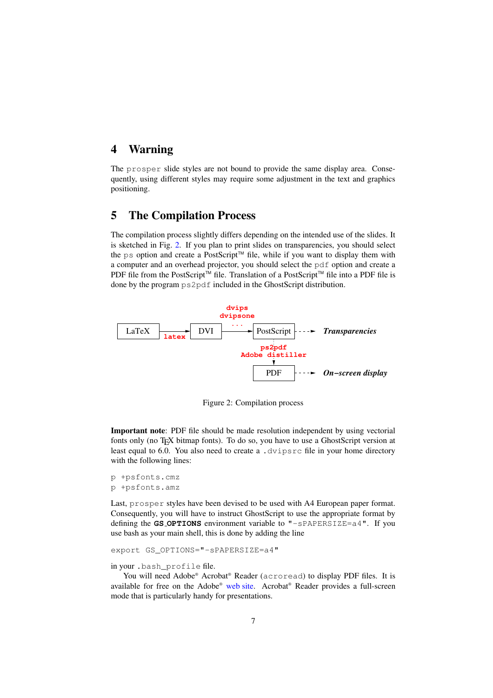# **4 Warning**

The prosper slide styles are not bound to provide the same display area. Consequently, using different styles may require some adjustment in the text and graphics positioning.

# **5 The Compilation Process**

The compilation process slightly differs depending on the intended use of the slides. It is sketched in Fig. [2.](#page-6-0) If you plan to print slides on transparencies, you should select the ps option and create a PostScript™ file, while if you want to display them with a computer and an overhead projector, you should select the pdf option and create a PDF file from the PostScript<sup>™</sup> file. Translation of a PostScript<sup>™</sup> file into a PDF file is done by the program ps2pdf included in the GhostScript distribution.



<span id="page-6-0"></span>Figure 2: Compilation process

**Important note**: PDF file should be made resolution independent by using vectorial fonts only (no T<sub>E</sub>X bitmap fonts). To do so, you have to use a GhostScript version at least equal to 6.0. You also need to create a .dvipsrc file in your home directory with the following lines:

```
p +psfonts.cmz
p +psfonts.amz
```
Last, prosper styles have been devised to be used with A4 European paper format. Consequently, you will have to instruct GhostScript to use the appropriate format by defining the **GS OPTIONS** environment variable to "-sPAPERSIZE=a4". If you use bash as your main shell, this is done by adding the line

export GS\_OPTIONS="-sPAPERSIZE=a4"

#### in your .bash\_profile file.

You will need Adobe® Acrobat® Reader (acroread) to display PDF files. It is available for free on the Adobe® [web](http://www.adobe.com/) site. Acrobat® Reader provides a full-screen mode that is particularly handy for presentations.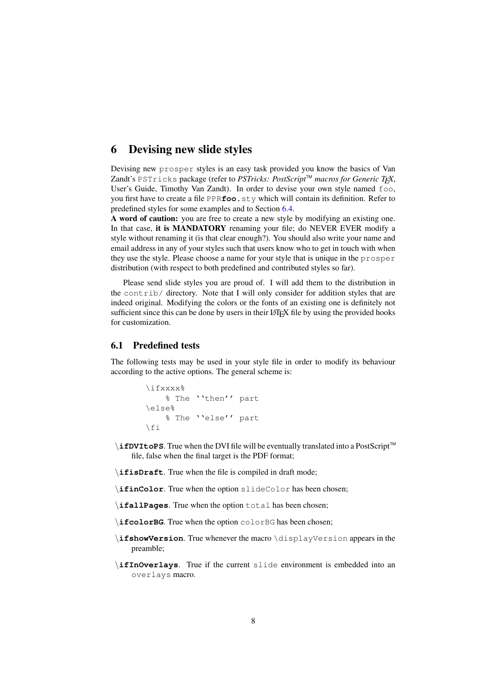### **6 Devising new slide styles**

Devising new prosper styles is an easy task provided you know the basics of Van Zandt's PSTricks package (refer to *PSTricks: PostScript*TM *macros for Generic TEX*, User's Guide, Timothy Van Zandt). In order to devise your own style named foo, you first have to create a file PPR**foo**.sty which will contain its definition. Refer to predefined styles for some examples and to Section [6.4.](#page-8-0)

**A word of caution:** you are free to create a new style by modifying an existing one. In that case, **it is MANDATORY** renaming your file; do NEVER EVER modify a style without renaming it (is that clear enough?). You should also write your name and email address in any of your styles such that users know who to get in touch with when they use the style. Please choose a name for your style that is unique in the prosper distribution (with respect to both predefined and contributed styles so far).

Please send slide styles you are proud of. I will add them to the distribution in the contrib/ directory. Note that I will only consider for addition styles that are indeed original. Modifying the colors or the fonts of an existing one is definitely not sufficient since this can be done by users in their LATEX file by using the provided hooks for customization.

### **6.1 Predefined tests**

The following tests may be used in your style file in order to modify its behaviour according to the active options. The general scheme is:

```
\ifxxxx%
   % The ''then'' part
\else%
   % The ''else'' part
\fi
```
- **\ifDVItoPS**. True when the DVI file will be eventually translated into a PostScript™ file, false when the final target is the PDF format;
- \**ifisDraft**. True when the file is compiled in draft mode;
- \**ifinColor**. True when the option slideColor has been chosen;
- \**ifallPages**. True when the option total has been chosen;
- \**ifcolorBG**. True when the option colorBG has been chosen;
- \**ifshowVersion**. True whenever the macro \displayVersion appears in the preamble;
- \**ifInOverlays**. True if the current slide environment is embedded into an overlays macro.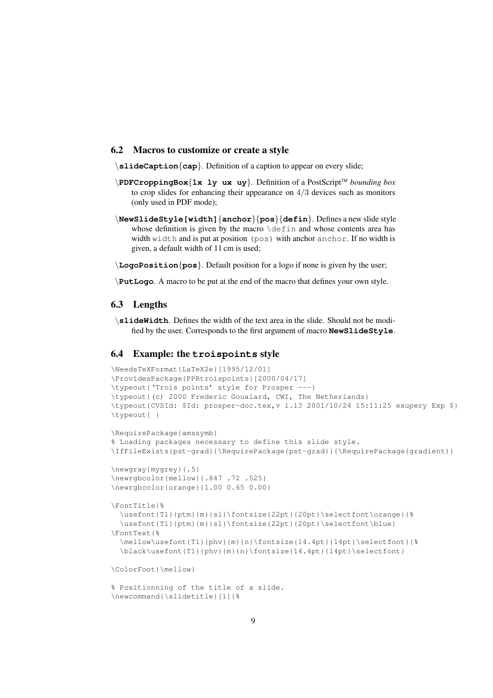### **6.2 Macros to customize or create a style**

\**slideCaption**{**cap**}. Definition of a caption to appear on every slide;

- \**PDFCroppingBox**{**lx ly ux uy**}. Definition of a PostScriptTM *bounding box* to crop slides for enhancing their appearance on 4/3 devices such as monitors (only used in PDF mode);
- \**NewSlideStyle[width]**{**anchor**}{**pos**}{**defin**}. Defines a new slide style whose definition is given by the macro  $\det$  and whose contents area has width width and is put at position (pos) with anchor anchor. If no width is given, a default width of 11 cm is used;
- \**LogoPosition**{**pos**}. Default position for a logo if none is given by the user;

\**PutLogo**. A macro to be put at the end of the macro that defines your own style.

### **6.3 Lengths**

\**slideWidth**. Defines the width of the text area in the slide. Should not be modified by the user. Corresponds to the first argument of macro **NewSlideStyle**.

### <span id="page-8-0"></span>**6.4 Example: the troispoints style**

```
\NeedsTeXFormat{LaTeX2e}[1995/12/01]
\ProvidesPackage{PPRtroispoints}[2000/04/17]
\typeout{'Trois points' style for Prosper ---}
\typeout{(c) 2000 Frederic Goualard, CWI, The Netherlands}
\typeout{CVSId: $Id: prosper-doc.tex,v 1.13 2001/10/24 15:11:25 exupery Exp $}
\typeout{ }
\RequirePackage{amssymb}
% Loading packages necessary to define this slide style.
\IfFileExists{pst-grad}{\RequirePackage{pst-grad}}{\RequirePackage{gradient}}
\newgray{mygrey}{.5}
\newrgbcolor{mellow}{.847 .72 .525}
\newrgbcolor{orange}{1.00 0.65 0.00}
\FontTitle{%
 \usefont{T1}{ptm}{m}{sl}\fontsize{22pt}{20pt}\selectfont\orange}{%
 \usefont{T1}{ptm}{m}{sl}\fontsize{22pt}{20pt}\selectfont\blue}
\FontText{%
 \mathcal{S}\mathcal{S}\n\blacksquare\ColorFoot{\mellow}
% Positionning of the title of a slide.
\newcommand{\slidetitle}[1]{%
```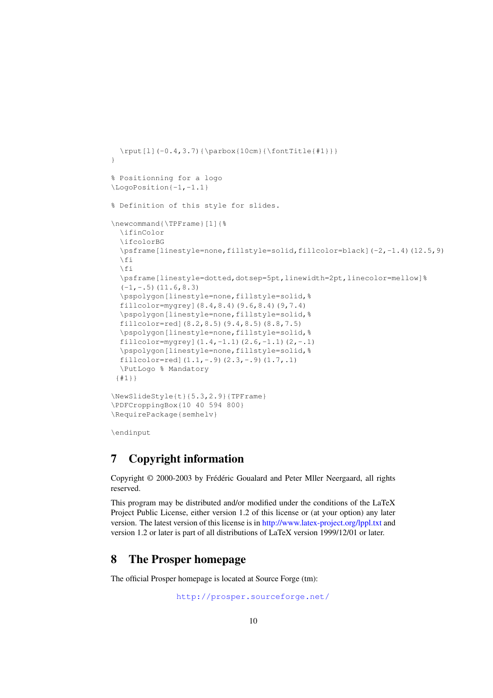```
\rput[l](-0.4,3.7){\parbox{10cm}{\fontTitle{#1}}}
}
% Positionning for a logo
\LogoPosition{-1,-1.1}
% Definition of this style for slides.
\newcommand{\TPFrame}[1]{%
  \ifinColor
  \ifcolorBG
  \psframe[linestyle=none,fillstyle=solid,fillcolor=black](-2,-1.4)(12.5,9)
  \left\{ \begin{array}{c} \uparrow \\ \uparrow \end{array} \right\}\left\{ \begin{array}{c} 1 \\ 1 \end{array} \right\}\psframe[linestyle=dotted,dotsep=5pt,linewidth=2pt,linecolor=mellow]%
  (-1,-.5) (11.6,8.3)\pspolygon[linestyle=none,fillstyle=solid,%
  fillcolor=mygrey](8.4,8.4)(9.6,8.4)(9,7.4)
  \pspolygon[linestyle=none,fillstyle=solid,%
  fillcolor=red](8.2,8.5)(9.4,8.5)(8.8,7.5)
  \pspolygon[linestyle=none,fillstyle=solid,%
  fillcolor=mygrey](1.4,-1.1)(2.6,-1.1)(2,-.1)\pspolygon[linestyle=none,fillstyle=solid,%
  fillcolor=red](1.1,-.9)(2.3,-.9)(1.7, .1)\PutLogo % Mandatory
 {#1}}
\NewSlideStyle{t}{5.3,2.9}{TPFrame}
\PDFCroppingBox{10 40 594 800}
\RequirePackage{semhelv}
```
\endinput

# **7 Copyright information**

Copyright © 2000-2003 by Frédéric Goualard and Peter Mller Neergaard, all rights reserved.

This program may be distributed and/or modified under the conditions of the LaTeX Project Public License, either version 1.2 of this license or (at your option) any later version. The latest version of this license is in <http://www.latex-project.org/lppl.txt> and version 1.2 or later is part of all distributions of LaTeX version 1999/12/01 or later.

# **8 The Prosper homepage**

The official Prosper homepage is located at Source Forge (tm):

<http://prosper.sourceforge.net/>